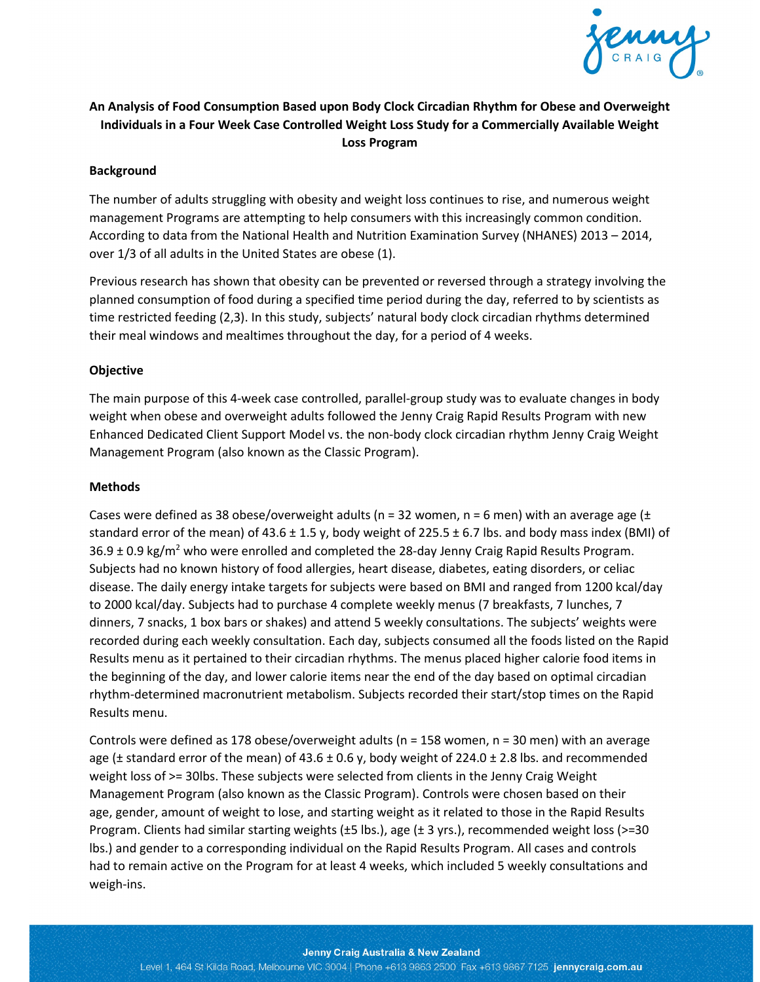

# **An Analysis of Food Consumption Based upon Body Clock Circadian Rhythm for Obese and Overweight Individuals in a Four Week Case Controlled Weight Loss Study for a Commercially Available Weight Loss Program**

### **Background**

The number of adults struggling with obesity and weight loss continues to rise, and numerous weight management Programs are attempting to help consumers with this increasingly common condition. According to data from the National Health and Nutrition Examination Survey (NHANES) 2013 – 2014, over 1/3 of all adults in the United States are obese (1).

Previous research has shown that obesity can be prevented or reversed through a strategy involving the planned consumption of food during a specified time period during the day, referred to by scientists as time restricted feeding (2,3). In this study, subjects' natural body clock circadian rhythms determined their meal windows and mealtimes throughout the day, for a period of 4 weeks.

#### **Objective**

The main purpose of this 4-week case controlled, parallel-group study was to evaluate changes in body weight when obese and overweight adults followed the Jenny Craig Rapid Results Program with new Enhanced Dedicated Client Support Model vs. the non-body clock circadian rhythm Jenny Craig Weight Management Program (also known as the Classic Program).

#### **Methods**

Cases were defined as 38 obese/overweight adults (n = 32 women, n = 6 men) with an average age ( $\pm$ standard error of the mean) of 43.6  $\pm$  1.5 y, body weight of 225.5  $\pm$  6.7 lbs. and body mass index (BMI) of  $36.9 \pm 0.9$  kg/m<sup>2</sup> who were enrolled and completed the 28-day Jenny Craig Rapid Results Program. Subjects had no known history of food allergies, heart disease, diabetes, eating disorders, or celiac disease. The daily energy intake targets for subjects were based on BMI and ranged from 1200 kcal/day to 2000 kcal/day. Subjects had to purchase 4 complete weekly menus (7 breakfasts, 7 lunches, 7 dinners, 7 snacks, 1 box bars or shakes) and attend 5 weekly consultations. The subjects' weights were recorded during each weekly consultation. Each day, subjects consumed all the foods listed on the Rapid Results menu as it pertained to their circadian rhythms. The menus placed higher calorie food items in the beginning of the day, and lower calorie items near the end of the day based on optimal circadian rhythm-determined macronutrient metabolism. Subjects recorded their start/stop times on the Rapid Results menu.

Controls were defined as 178 obese/overweight adults (n = 158 women, n = 30 men) with an average age ( $\pm$  standard error of the mean) of 43.6  $\pm$  0.6 y, body weight of 224.0  $\pm$  2.8 lbs. and recommended weight loss of >= 30lbs. These subjects were selected from clients in the Jenny Craig Weight Management Program (also known as the Classic Program). Controls were chosen based on their age, gender, amount of weight to lose, and starting weight as it related to those in the Rapid Results Program. Clients had similar starting weights (±5 lbs.), age (± 3 yrs.), recommended weight loss (>=30 lbs.) and gender to a corresponding individual on the Rapid Results Program. All cases and controls had to remain active on the Program for at least 4 weeks, which included 5 weekly consultations and weigh-ins.

#### Jenny Craig Australia & New Zealand

Level 1, 464 St Kilda Road, Melbourne VIC 3004 | Phone +613 9863 2500 Fax +613 9867 7125 jennycraig.com.au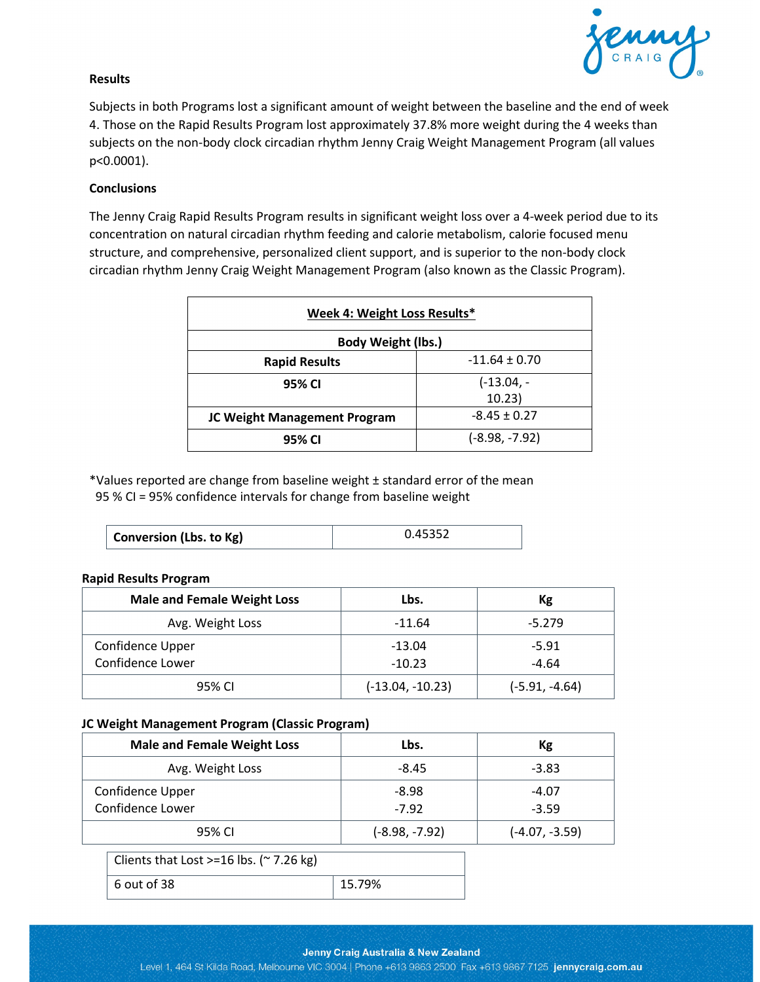

### **Results**

Subjects in both Programs lost a significant amount of weight between the baseline and the end of week 4. Those on the Rapid Results Program lost approximately 37.8% more weight during the 4 weeks than subjects on the non-body clock circadian rhythm Jenny Craig Weight Management Program (all values p<0.0001).

#### **Conclusions**

The Jenny Craig Rapid Results Program results in significant weight loss over a 4-week period due to its concentration on natural circadian rhythm feeding and calorie metabolism, calorie focused menu structure, and comprehensive, personalized client support, and is superior to the non-body clock circadian rhythm Jenny Craig Weight Management Program (also known as the Classic Program).

| Week 4: Weight Loss Results* |                   |  |  |
|------------------------------|-------------------|--|--|
| Body Weight (lbs.)           |                   |  |  |
| <b>Rapid Results</b>         | $-11.64 \pm 0.70$ |  |  |
| 95% CI                       | $(-13.04, -$      |  |  |
|                              | 10.23)            |  |  |
| JC Weight Management Program | $-8.45 \pm 0.27$  |  |  |
| 95% CI                       | $(-8.98, -7.92)$  |  |  |

\*Values reported are change from baseline weight ± standard error of the mean 95 % CI = 95% confidence intervals for change from baseline weight

| <b>Conversion (Lbs. to Kg)</b> | 0.45352 |
|--------------------------------|---------|
|--------------------------------|---------|

#### **Rapid Results Program**

| <b>Male and Female Weight Loss</b> | Lbs.               | Кg               |
|------------------------------------|--------------------|------------------|
| Avg. Weight Loss                   | $-11.64$           | $-5.279$         |
| Confidence Upper                   | $-13.04$           | $-5.91$          |
| Confidence Lower                   | $-10.23$           | $-4.64$          |
| 95% CI                             | $(-13.04, -10.23)$ | $(-5.91, -4.64)$ |

#### **JC Weight Management Program (Classic Program)**

| <b>Male and Female Weight Loss</b>               | Lbs.             | Kg               |  |
|--------------------------------------------------|------------------|------------------|--|
| Avg. Weight Loss                                 | $-8.45$          | $-3.83$          |  |
| Confidence Upper                                 | $-8.98$          | $-4.07$          |  |
| Confidence Lower                                 | $-7.92$          | $-3.59$          |  |
| 95% CI                                           | $(-8.98, -7.92)$ | $(-4.07, -3.59)$ |  |
| Clients that Lost >=16 lbs. ( $\approx$ 7.26 kg) |                  |                  |  |
| 6 out of 38<br>15.79%                            |                  |                  |  |

#### Jenny Craig Australia & New Zealand

Level 1, 464 St Kilda Road, Melbourne VIC 3004 | Phone +613 9863 2500 Fax +613 9867 7125 jennycraig.com.au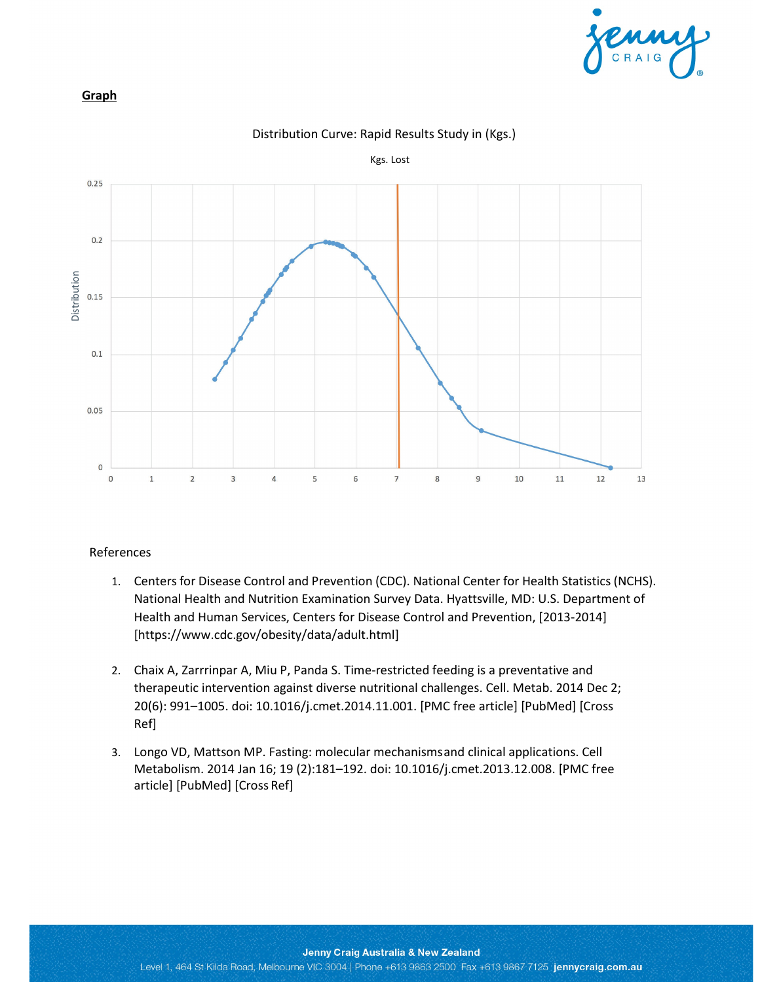

## **Graph**



#### Distribution Curve: Rapid Results Study in (Kgs.)

## References

- 1. Centers for Disease Control and Prevention (CDC). National Center for Health Statistics (NCHS). National Health and Nutrition Examination Survey Data. Hyattsville, MD: U.S. Department of Health and Human Services, Centers for Disease Control and Prevention, [2013-2014] [https:/[/www.cdc.gov/obesity/data/adult.html\]](http://www.cdc.gov/obesity/data/adult.html)
- 2. Chaix A, Zarrrinpar A, Miu P, Panda S. Time-restricted feeding is a preventative and therapeutic intervention against diverse nutritional challenges. Cell. Metab. 2014 Dec 2; 20(6): 991–1005. doi: 10.1016/j.cmet.2014.11.001. [PMC free article] [PubMed] [Cross Ref]
- 3. Longo VD, Mattson MP. Fasting: molecular mechanismsand clinical applications. Cell Metabolism. 2014 Jan 16; 19 (2):181–192. doi: 10.1016/j.cmet.2013.12.008. [PMC free article] [PubMed] [Cross Ref]

#### Jenny Craig Australia & New Zealand

Level 1, 464 St Kilda Road, Melbourne VIC 3004 | Phone +613 9863 2500 Fax +613 9867 7125 jennycraig.com.au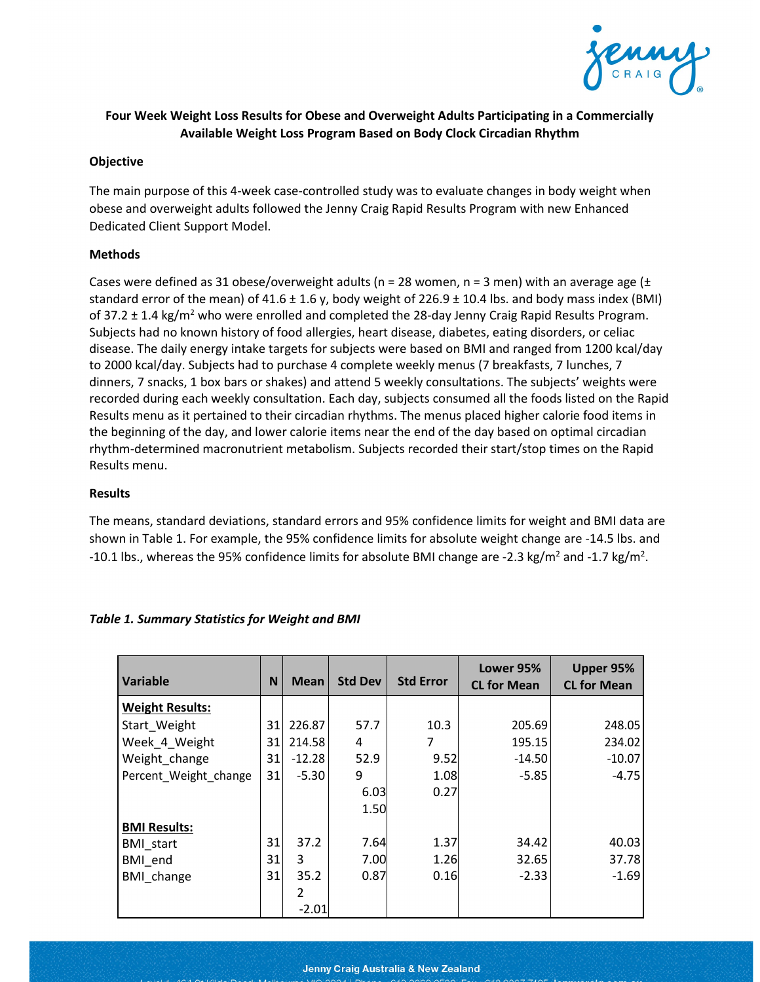

# **Four Week Weight Loss Results for Obese and Overweight Adults Participating in a Commercially Available Weight Loss Program Based on Body Clock Circadian Rhythm**

## **Objective**

The main purpose of this 4-week case-controlled study was to evaluate changes in body weight when obese and overweight adults followed the Jenny Craig Rapid Results Program with new Enhanced Dedicated Client Support Model.

## **Methods**

Cases were defined as 31 obese/overweight adults (n = 28 women, n = 3 men) with an average age ( $\pm$ standard error of the mean) of 41.6  $\pm$  1.6 y, body weight of 226.9  $\pm$  10.4 lbs. and body mass index (BMI) of 37.2  $\pm$  1.4 kg/m<sup>2</sup> who were enrolled and completed the 28-day Jenny Craig Rapid Results Program. Subjects had no known history of food allergies, heart disease, diabetes, eating disorders, or celiac disease. The daily energy intake targets for subjects were based on BMI and ranged from 1200 kcal/day to 2000 kcal/day. Subjects had to purchase 4 complete weekly menus (7 breakfasts, 7 lunches, 7 dinners, 7 snacks, 1 box bars or shakes) and attend 5 weekly consultations. The subjects' weights were recorded during each weekly consultation. Each day, subjects consumed all the foods listed on the Rapid Results menu as it pertained to their circadian rhythms. The menus placed higher calorie food items in the beginning of the day, and lower calorie items near the end of the day based on optimal circadian rhythm-determined macronutrient metabolism. Subjects recorded their start/stop times on the Rapid Results menu.

#### **Results**

The means, standard deviations, standard errors and 95% confidence limits for weight and BMI data are shown in Table 1. For example, the 95% confidence limits for absolute weight change are -14.5 lbs. and -10.1 lbs., whereas the 95% confidence limits for absolute BMI change are -2.3 kg/m<sup>2</sup> and -1.7 kg/m<sup>2</sup>.

| <b>Variable</b>        | N  | <b>Mean</b>   | <b>Std Dev</b> | <b>Std Error</b> | Lower 95%<br><b>CL for Mean</b> | Upper 95%<br><b>CL for Mean</b> |
|------------------------|----|---------------|----------------|------------------|---------------------------------|---------------------------------|
| <b>Weight Results:</b> |    |               |                |                  |                                 |                                 |
| Start Weight           | 31 | 226.87        | 57.7           | 10.3             | 205.69                          | 248.05                          |
| Week 4 Weight          | 31 | 214.58        | 4              | 7                | 195.15                          | 234.02                          |
| Weight change          | 31 | $-12.28$      | 52.9           | 9.52             | $-14.50$                        | $-10.07$                        |
| Percent_Weight_change  | 31 | $-5.30$       | 9              | 1.08             | $-5.85$                         | $-4.75$                         |
|                        |    |               | 6.03           | 0.27             |                                 |                                 |
|                        |    |               | 1.50           |                  |                                 |                                 |
| <b>BMI Results:</b>    |    |               |                |                  |                                 |                                 |
| <b>BMI</b> start       | 31 | 37.2          | 7.64           | 1.37             | 34.42                           | 40.03                           |
| BMI end                | 31 | 3             | 7.00           | 1.26             | 32.65                           | 37.78                           |
| BMI change             | 31 | 35.2          | 0.87           | 0.16             | $-2.33$                         | $-1.69$                         |
|                        |    | $\mathcal{P}$ |                |                  |                                 |                                 |
|                        |    | $-2.01$       |                |                  |                                 |                                 |

## *Table 1. Summary Statistics for Weight and BMI*